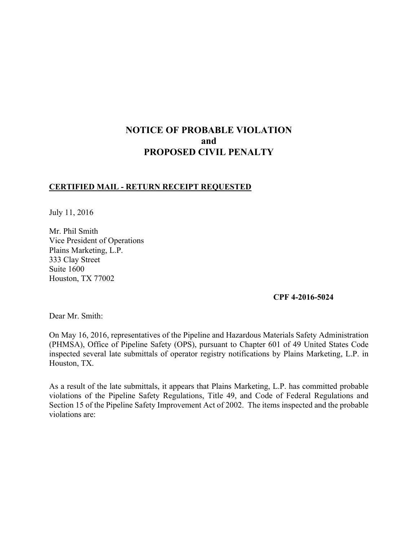# **NOTICE OF PROBABLE VIOLATION and PROPOSED CIVIL PENALTY**

## **CERTIFIED MAIL - RETURN RECEIPT REQUESTED**

July 11, 2016

Mr. Phil Smith Vice President of Operations Plains Marketing, L.P. 333 Clay Street Suite 1600 Houston, TX 77002

#### **CPF 4-2016-5024**

Dear Mr. Smith:

On May 16, 2016, representatives of the Pipeline and Hazardous Materials Safety Administration (PHMSA), Office of Pipeline Safety (OPS), pursuant to Chapter 601 of 49 United States Code inspected several late submittals of operator registry notifications by Plains Marketing, L.P. in Houston, TX.

As a result of the late submittals, it appears that Plains Marketing, L.P. has committed probable violations of the Pipeline Safety Regulations, Title 49, and Code of Federal Regulations and Section 15 of the Pipeline Safety Improvement Act of 2002. The items inspected and the probable violations are: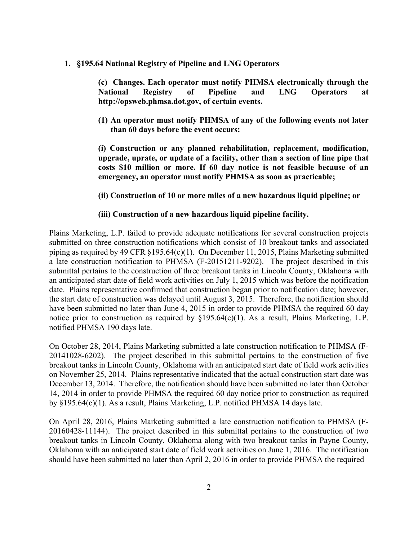#### **1. §195.64 National Registry of Pipeline and LNG Operators**

 **(c) Changes. Each operator must notify PHMSA electronically through the National Registry of Pipeline and LNG Operators at http://opsweb.phmsa.dot.gov, of certain events.** 

**(1) An operator must notify PHMSA of any of the following events not later than 60 days before the event occurs:** 

**(i) Construction or any planned rehabilitation, replacement, modification, upgrade, uprate, or update of a facility, other than a section of line pipe that costs \$10 million or more. If 60 day notice is not feasible because of an emergency, an operator must notify PHMSA as soon as practicable;** 

#### **(ii) Construction of 10 or more miles of a new hazardous liquid pipeline; or**

#### **(iii) Construction of a new hazardous liquid pipeline facility.**

Plains Marketing, L.P. failed to provide adequate notifications for several construction projects submitted on three construction notifications which consist of 10 breakout tanks and associated piping as required by 49 CFR §195.64(c)(1). On December 11, 2015, Plains Marketing submitted a late construction notification to PHMSA (F-20151211-9202). The project described in this submittal pertains to the construction of three breakout tanks in Lincoln County, Oklahoma with an anticipated start date of field work activities on July 1, 2015 which was before the notification date. Plains representative confirmed that construction began prior to notification date; however, the start date of construction was delayed until August 3, 2015. Therefore, the notification should have been submitted no later than June 4, 2015 in order to provide PHMSA the required 60 day notice prior to construction as required by §195.64(c)(1). As a result, Plains Marketing, L.P. notified PHMSA 190 days late.

On October 28, 2014, Plains Marketing submitted a late construction notification to PHMSA (F-20141028-6202). The project described in this submittal pertains to the construction of five breakout tanks in Lincoln County, Oklahoma with an anticipated start date of field work activities on November 25, 2014. Plains representative indicated that the actual construction start date was December 13, 2014. Therefore, the notification should have been submitted no later than October 14, 2014 in order to provide PHMSA the required 60 day notice prior to construction as required by §195.64(c)(1). As a result, Plains Marketing, L.P. notified PHMSA 14 days late.

On April 28, 2016, Plains Marketing submitted a late construction notification to PHMSA (F-20160428-11144). The project described in this submittal pertains to the construction of two breakout tanks in Lincoln County, Oklahoma along with two breakout tanks in Payne County, Oklahoma with an anticipated start date of field work activities on June 1, 2016. The notification should have been submitted no later than April 2, 2016 in order to provide PHMSA the required